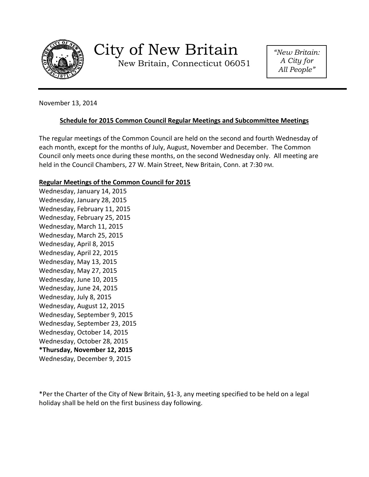

New Britain, Connecticut 06051

*"New Britain: A City for All People"*

November 13, 2014

# **Schedule for 2015 Common Council Regular Meetings and Subcommittee Meetings**

The regular meetings of the Common Council are held on the second and fourth Wednesday of each month, except for the months of July, August, November and December. The Common Council only meets once during these months, on the second Wednesday only. All meeting are held in the Council Chambers, 27 W. Main Street, New Britain, Conn. at 7:30 PM.

# **Regular Meetings of the Common Council for 2015**

Wednesday, January 14, 2015 Wednesday, January 28, 2015 Wednesday, February 11, 2015 Wednesday, February 25, 2015 Wednesday, March 11, 2015 Wednesday, March 25, 2015 Wednesday, April 8, 2015 Wednesday, April 22, 2015 Wednesday, May 13, 2015 Wednesday, May 27, 2015 Wednesday, June 10, 2015 Wednesday, June 24, 2015 Wednesday, July 8, 2015 Wednesday, August 12, 2015 Wednesday, September 9, 2015 Wednesday, September 23, 2015 Wednesday, October 14, 2015 Wednesday, October 28, 2015 **\*Thursday, November 12, 2015** Wednesday, December 9, 2015

\*Per the Charter of the City of New Britain, §1-3, any meeting specified to be held on a legal holiday shall be held on the first business day following.